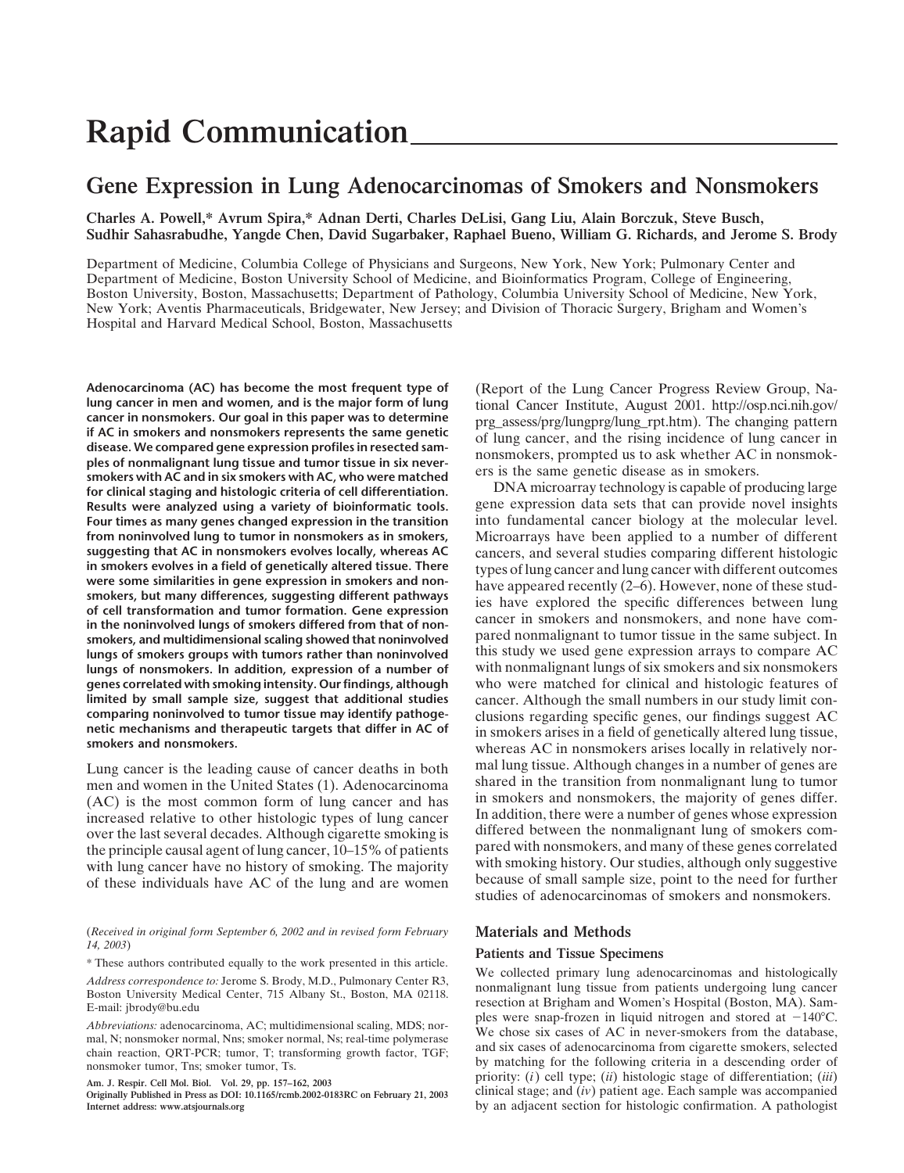# **Rapid Communication**

# **Gene Expression in Lung Adenocarcinomas of Smokers and Nonsmokers**

**Charles A. Powell,\* Avrum Spira,\* Adnan Derti, Charles DeLisi, Gang Liu, Alain Borczuk, Steve Busch, Sudhir Sahasrabudhe, Yangde Chen, David Sugarbaker, Raphael Bueno, William G. Richards, and Jerome S. Brody**

Department of Medicine, Columbia College of Physicians and Surgeons, New York, New York; Pulmonary Center and Department of Medicine, Boston University School of Medicine, and Bioinformatics Program, College of Engineering, Boston University, Boston, Massachusetts; Department of Pathology, Columbia University School of Medicine, New York, New York; Aventis Pharmaceuticals, Bridgewater, New Jersey; and Division of Thoracic Surgery, Brigham and Women's Hospital and Harvard Medical School, Boston, Massachusetts

**Adenocarcinoma (AC) has become the most frequent type of lung cancer in men and women, and is the major form of lung cancer in nonsmokers. Our goal in this paper was to determine if AC in smokers and nonsmokers represents the same genetic disease. We compared gene expression profiles in resected samples of nonmalignant lung tissue and tumor tissue in six neversmokers with AC and in six smokers with AC, who were matched for clinical staging and histologic criteria of cell differentiation. Results were analyzed using a variety of bioinformatic tools. Four times as many genes changed expression in the transition from noninvolved lung to tumor in nonsmokers as in smokers, suggesting that AC in nonsmokers evolves locally, whereas AC in smokers evolves in a field of genetically altered tissue. There were some similarities in gene expression in smokers and nonsmokers, but many differences, suggesting different pathways of cell transformation and tumor formation. Gene expression in the noninvolved lungs of smokers differed from that of nonsmokers, and multidimensional scaling showed that noninvolved lungs of smokers groups with tumors rather than noninvolved lungs of nonsmokers. In addition, expression of a number of genes correlated with smoking intensity. Our findings, although limited by small sample size, suggest that additional studies comparing noninvolved to tumor tissue may identify pathogenetic mechanisms and therapeutic targets that differ in AC of smokers and nonsmokers.**

Lung cancer is the leading cause of cancer deaths in both men and women in the United States (1). Adenocarcinoma (AC) is the most common form of lung cancer and has increased relative to other histologic types of lung cancer over the last several decades. Although cigarette smoking is the principle causal agent of lung cancer, 10–15% of patients with lung cancer have no history of smoking. The majority of these individuals have AC of the lung and are women

(*Received in original form September 6, 2002 and in revised form February 14, 2003*)

\* These authors contributed equally to the work presented in this article.

*Address correspondence to:* Jerome S. Brody, M.D., Pulmonary Center R3, Boston University Medical Center, 715 Albany St., Boston, MA 02118. E-mail: jbrody@bu.edu

*Abbreviations:* adenocarcinoma, AC; multidimensional scaling, MDS; normal, N; nonsmoker normal, Nns; smoker normal, Ns; real-time polymerase chain reaction, QRT-PCR; tumor, T; transforming growth factor, TGF; nonsmoker tumor, Tns; smoker tumor, Ts.

**Am. J. Respir. Cell Mol. Biol. Vol. 29, pp. 157–162, 2003**

**Originally Published in Press as DOI: 10.1165/rcmb.2002-0183RC on February 21, 2003 Internet address: www.atsjournals.org**

(Report of the Lung Cancer Progress Review Group, National Cancer Institute, August 2001. http://osp.nci.nih.gov/ prg\_assess/prg/lungprg/lung\_rpt.htm). The changing pattern of lung cancer, and the rising incidence of lung cancer in nonsmokers, prompted us to ask whether AC in nonsmokers is the same genetic disease as in smokers.

DNA microarray technology is capable of producing large gene expression data sets that can provide novel insights into fundamental cancer biology at the molecular level. Microarrays have been applied to a number of different cancers, and several studies comparing different histologic types of lung cancer and lung cancer with different outcomes have appeared recently (2–6). However, none of these studies have explored the specific differences between lung cancer in smokers and nonsmokers, and none have compared nonmalignant to tumor tissue in the same subject. In this study we used gene expression arrays to compare AC with nonmalignant lungs of six smokers and six nonsmokers who were matched for clinical and histologic features of cancer. Although the small numbers in our study limit conclusions regarding specific genes, our findings suggest AC in smokers arises in a field of genetically altered lung tissue, whereas AC in nonsmokers arises locally in relatively normal lung tissue. Although changes in a number of genes are shared in the transition from nonmalignant lung to tumor in smokers and nonsmokers, the majority of genes differ. In addition, there were a number of genes whose expression differed between the nonmalignant lung of smokers compared with nonsmokers, and many of these genes correlated with smoking history. Our studies, although only suggestive because of small sample size, point to the need for further studies of adenocarcinomas of smokers and nonsmokers.

# **Materials and Methods**

## **Patients and Tissue Specimens**

We collected primary lung adenocarcinomas and histologically nonmalignant lung tissue from patients undergoing lung cancer resection at Brigham and Women's Hospital (Boston, MA). Samples were snap-frozen in liquid nitrogen and stored at  $-140^{\circ}$ C. We chose six cases of AC in never-smokers from the database, and six cases of adenocarcinoma from cigarette smokers, selected by matching for the following criteria in a descending order of priority: (*i*) cell type; (*ii*) histologic stage of differentiation; (*iii*) clinical stage; and (*iv*) patient age. Each sample was accompanied by an adjacent section for histologic confirmation. A pathologist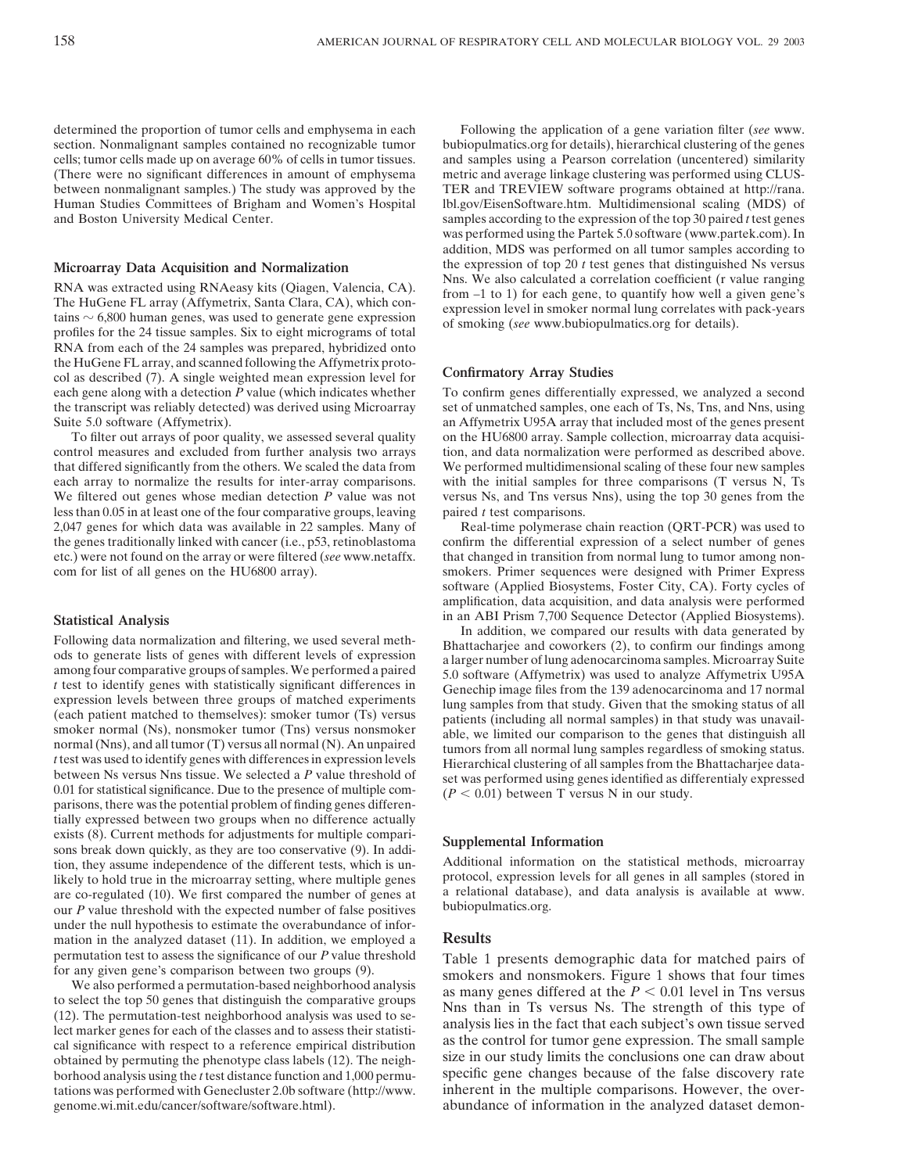determined the proportion of tumor cells and emphysema in each section. Nonmalignant samples contained no recognizable tumor cells; tumor cells made up on average 60% of cells in tumor tissues. (There were no significant differences in amount of emphysema between nonmalignant samples.) The study was approved by the Human Studies Committees of Brigham and Women's Hospital and Boston University Medical Center.

#### **Microarray Data Acquisition and Normalization**

RNA was extracted using RNAeasy kits (Qiagen, Valencia, CA). The HuGene FL array (Affymetrix, Santa Clara, CA), which contains  $\sim$  6,800 human genes, was used to generate gene expression profiles for the 24 tissue samples. Six to eight micrograms of total RNA from each of the 24 samples was prepared, hybridized onto the HuGene FL array, and scanned following the Affymetrix protocol as described (7). A single weighted mean expression level for each gene along with a detection *P* value (which indicates whether the transcript was reliably detected) was derived using Microarray Suite 5.0 software (Affymetrix).

To filter out arrays of poor quality, we assessed several quality control measures and excluded from further analysis two arrays that differed significantly from the others. We scaled the data from each array to normalize the results for inter-array comparisons. We filtered out genes whose median detection *P* value was not less than 0.05 in at least one of the four comparative groups, leaving 2,047 genes for which data was available in 22 samples. Many of the genes traditionally linked with cancer (i.e., p53, retinoblastoma etc.) were not found on the array or were filtered (*see* www.netaffx. com for list of all genes on the HU6800 array).

#### **Statistical Analysis**

Following data normalization and filtering, we used several methods to generate lists of genes with different levels of expression among four comparative groups of samples. We performed a paired *t* test to identify genes with statistically significant differences in expression levels between three groups of matched experiments (each patient matched to themselves): smoker tumor (Ts) versus smoker normal (Ns), nonsmoker tumor (Tns) versus nonsmoker normal (Nns), and all tumor (T) versus all normal (N). An unpaired *t* test was used to identify genes with differences in expression levels between Ns versus Nns tissue. We selected a *P* value threshold of 0.01 for statistical significance. Due to the presence of multiple comparisons, there was the potential problem of finding genes differentially expressed between two groups when no difference actually exists (8). Current methods for adjustments for multiple comparisons break down quickly, as they are too conservative (9). In addition, they assume independence of the different tests, which is unlikely to hold true in the microarray setting, where multiple genes are co-regulated (10). We first compared the number of genes at our *P* value threshold with the expected number of false positives under the null hypothesis to estimate the overabundance of information in the analyzed dataset (11). In addition, we employed a permutation test to assess the significance of our *P* value threshold for any given gene's comparison between two groups (9).

We also performed a permutation-based neighborhood analysis to select the top 50 genes that distinguish the comparative groups (12). The permutation-test neighborhood analysis was used to select marker genes for each of the classes and to assess their statistical significance with respect to a reference empirical distribution obtained by permuting the phenotype class labels (12). The neighborhood analysis using the *t* test distance function and 1,000 permutations was performed with Genecluster 2.0b software (http://www. genome.wi.mit.edu/cancer/software/software.html).

Following the application of a gene variation filter (*see* www. bubiopulmatics.org for details), hierarchical clustering of the genes and samples using a Pearson correlation (uncentered) similarity metric and average linkage clustering was performed using CLUS-TER and TREVIEW software programs obtained at http://rana. lbl.gov/EisenSoftware.htm. Multidimensional scaling (MDS) of samples according to the expression of the top 30 paired *t* test genes was performed using the Partek 5.0 software (www.partek.com). In addition, MDS was performed on all tumor samples according to the expression of top 20  $t$  test genes that distinguished Ns versus Nns. We also calculated a correlation coefficient (r value ranging from –1 to 1) for each gene, to quantify how well a given gene's expression level in smoker normal lung correlates with pack-years of smoking (*see* www.bubiopulmatics.org for details).

### **Confirmatory Array Studies**

To confirm genes differentially expressed, we analyzed a second set of unmatched samples, one each of Ts, Ns, Tns, and Nns, using an Affymetrix U95A array that included most of the genes present on the HU6800 array. Sample collection, microarray data acquisition, and data normalization were performed as described above. We performed multidimensional scaling of these four new samples with the initial samples for three comparisons (T versus N, Ts versus Ns, and Tns versus Nns), using the top 30 genes from the paired *t* test comparisons.

Real-time polymerase chain reaction (QRT-PCR) was used to confirm the differential expression of a select number of genes that changed in transition from normal lung to tumor among nonsmokers. Primer sequences were designed with Primer Express software (Applied Biosystems, Foster City, CA). Forty cycles of amplification, data acquisition, and data analysis were performed in an ABI Prism 7,700 Sequence Detector (Applied Biosystems).

In addition, we compared our results with data generated by Bhattacharjee and coworkers (2), to confirm our findings among a larger number of lung adenocarcinoma samples. Microarray Suite 5.0 software (Affymetrix) was used to analyze Affymetrix U95A Genechip image files from the 139 adenocarcinoma and 17 normal lung samples from that study. Given that the smoking status of all patients (including all normal samples) in that study was unavailable, we limited our comparison to the genes that distinguish all tumors from all normal lung samples regardless of smoking status. Hierarchical clustering of all samples from the Bhattacharjee dataset was performed using genes identified as differentialy expressed  $(P < 0.01)$  between T versus N in our study.

#### **Supplemental Information**

Additional information on the statistical methods, microarray protocol, expression levels for all genes in all samples (stored in a relational database), and data analysis is available at www. bubiopulmatics.org.

### **Results**

Table 1 presents demographic data for matched pairs of smokers and nonsmokers. Figure 1 shows that four times as many genes differed at the  $P < 0.01$  level in Tns versus Nns than in Ts versus Ns. The strength of this type of analysis lies in the fact that each subject's own tissue served as the control for tumor gene expression. The small sample size in our study limits the conclusions one can draw about specific gene changes because of the false discovery rate inherent in the multiple comparisons. However, the overabundance of information in the analyzed dataset demon-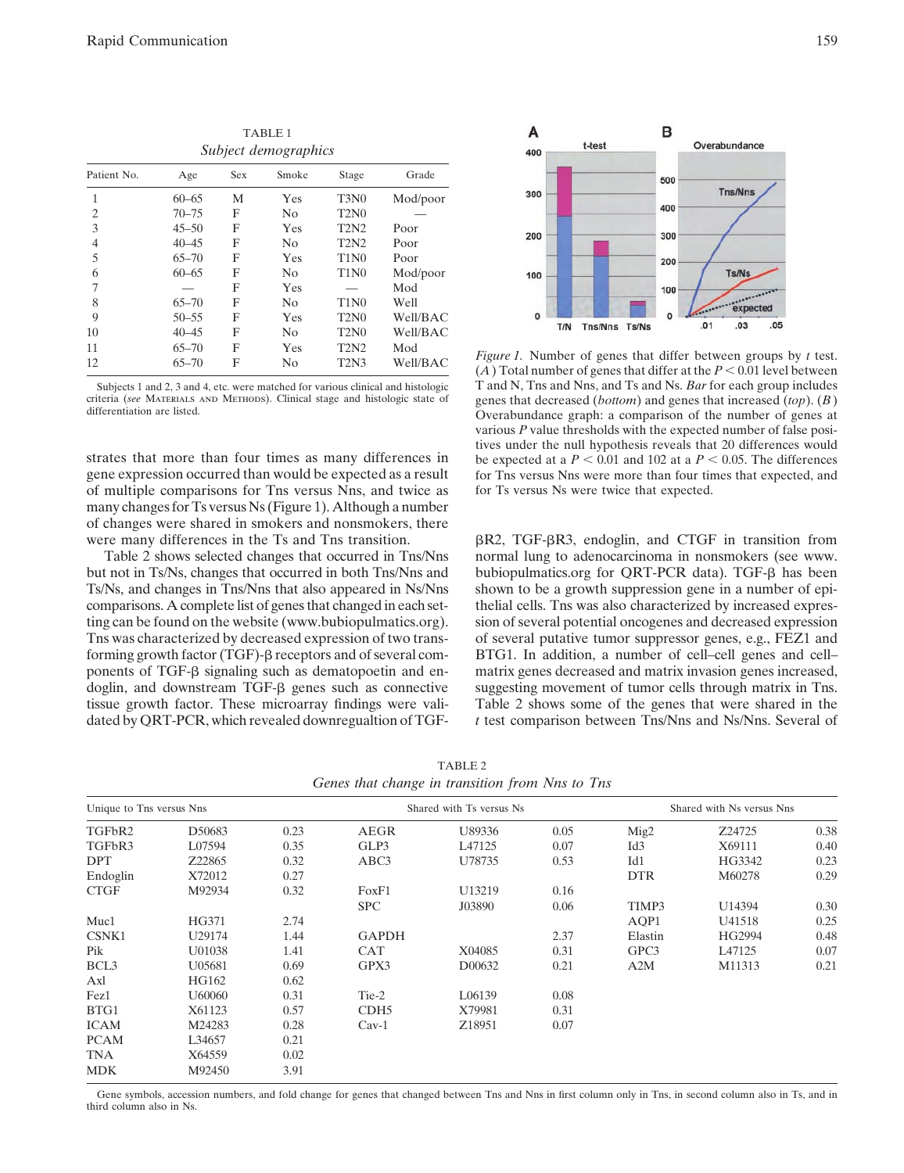*Subject demographics* Patient No. Age Sex Smoke Stage Grade 1 60–65 M Yes T3N0 Mod/poor 2 70–75 F No T2N0 — 3 45–50 F Yes T2N2 Poor 4 40–45 F No T2N2 Poor 5 65–70 F Yes T1N0 Poor 6 60–65 F No T1N0 Mod/poor 7 — F Yes — Mod 8 65–70 F No T1N0 Well 9 50–55 F Yes T2N0 Well/BAC 10 40–45 F No T2N0 Well/BAC 11 65–70 F Yes T2N2 Mod 12 65–70 F No T2N3 Well/BAC

TABLE 1

Subjects 1 and 2, 3 and 4, etc. were matched for various clinical and histologic criteria (*see* Materials and Methods). Clinical stage and histologic state of differentiation are listed.

strates that more than four times as many differences in gene expression occurred than would be expected as a result of multiple comparisons for Tns versus Nns, and twice as many changes for Ts versus Ns (Figure 1). Although a number of changes were shared in smokers and nonsmokers, there were many differences in the Ts and Tns transition.

Table 2 shows selected changes that occurred in Tns/Nns but not in Ts/Ns, changes that occurred in both Tns/Nns and Ts/Ns, and changes in Tns/Nns that also appeared in Ns/Nns comparisons. A complete list of genes that changed in each setting can be found on the website (www.bubiopulmatics.org). Tns was characterized by decreased expression of two transforming growth factor (TGF)- $\beta$  receptors and of several components of TGF- $\beta$  signaling such as dematopoetin and endoglin, and downstream  $TGF- $\beta$  genes such as connective$ tissue growth factor. These microarray findings were validated by QRT-PCR, which revealed downregualtion of TGF-

B A t-test Overabundance  $400$ 500 Tns/Nns  $300$ 400 200 300 200 Ts/Ns 100 100 expected O  $\Omega$  $.05$  $.01$  $.03$ T/N Tns/Nns Ts/Ns

*Figure 1.* Number of genes that differ between groups by *t* test.  $(A)$  Total number of genes that differ at the  $P < 0.01$  level between T and N, Tns and Nns, and Ts and Ns. *Bar* for each group includes genes that decreased (*bottom*) and genes that increased (*top*). (*B*) Overabundance graph: a comparison of the number of genes at various *P* value thresholds with the expected number of false positives under the null hypothesis reveals that 20 differences would be expected at a  $P < 0.01$  and 102 at a  $P < 0.05$ . The differences for Tns versus Nns were more than four times that expected, and for Ts versus Ns were twice that expected.

 $\beta$ R2, TGF- $\beta$ R3, endoglin, and CTGF in transition from normal lung to adenocarcinoma in nonsmokers (see www. bubiopulmatics.org for QRT-PCR data). TGF- $\beta$  has been shown to be a growth suppression gene in a number of epithelial cells. Tns was also characterized by increased expression of several potential oncogenes and decreased expression of several putative tumor suppressor genes, e.g., FEZ1 and BTG1. In addition, a number of cell–cell genes and cell– matrix genes decreased and matrix invasion genes increased, suggesting movement of tumor cells through matrix in Tns. Table 2 shows some of the genes that were shared in the *t* test comparison between Tns/Nns and Ns/Nns. Several of

TABLE 2 *Genes that change in transition from Nns to Tns*

| Unique to Tns versus Nns |        |      | Shared with Ts versus Ns |                    |      | Shared with Ns versus Nns |        |      |
|--------------------------|--------|------|--------------------------|--------------------|------|---------------------------|--------|------|
| TGFbR2                   | D50683 | 0.23 | <b>AEGR</b>              | U89336             | 0.05 | Mig2                      | Z24725 | 0.38 |
| TGFbR3                   | L07594 | 0.35 | GLP3                     | L47125             | 0.07 | Id <sub>3</sub>           | X69111 | 0.40 |
| <b>DPT</b>               | Z22865 | 0.32 | ABC3                     | U78735             | 0.53 | Id1                       | HG3342 | 0.23 |
| Endoglin                 | X72012 | 0.27 |                          |                    |      | <b>DTR</b>                | M60278 | 0.29 |
| <b>CTGF</b>              | M92934 | 0.32 | FoxF1                    | U13219             | 0.16 |                           |        |      |
|                          |        |      | <b>SPC</b>               | J03890             | 0.06 | TIMP3                     | U14394 | 0.30 |
| Muc1                     | HG371  | 2.74 |                          |                    |      | AOP1                      | U41518 | 0.25 |
| CSNK1                    | U29174 | 1.44 | <b>GAPDH</b>             |                    | 2.37 | Elastin                   | HG2994 | 0.48 |
| Pik                      | U01038 | 1.41 | <b>CAT</b>               | X04085             | 0.31 | GPC3                      | L47125 | 0.07 |
| BCL <sub>3</sub>         | U05681 | 0.69 | GPX3                     | D00632             | 0.21 | A2M                       | M11313 | 0.21 |
| Axl                      | HG162  | 0.62 |                          |                    |      |                           |        |      |
| Fez1                     | U60060 | 0.31 | Tie-2                    | L06139             | 0.08 |                           |        |      |
| BTG1                     | X61123 | 0.57 | CDH <sub>5</sub>         | X79981             | 0.31 |                           |        |      |
| <b>ICAM</b>              | M24283 | 0.28 | $Cav-1$                  | Z <sub>18951</sub> | 0.07 |                           |        |      |
| <b>PCAM</b>              | L34657 | 0.21 |                          |                    |      |                           |        |      |
| <b>TNA</b>               | X64559 | 0.02 |                          |                    |      |                           |        |      |
| <b>MDK</b>               | M92450 | 3.91 |                          |                    |      |                           |        |      |

Gene symbols, accession numbers, and fold change for genes that changed between Tns and Nns in first column only in Tns, in second column also in Ts, and in third column also in Ns.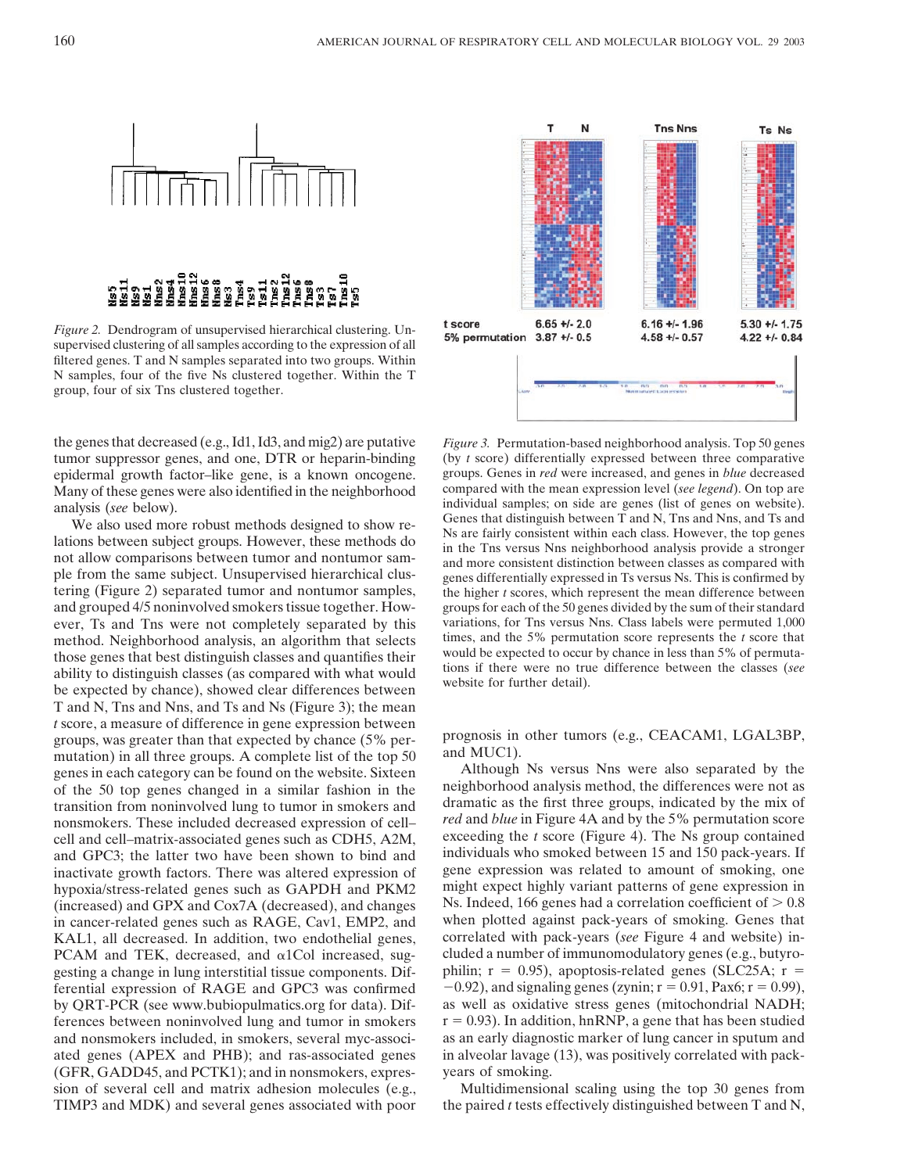

*Figure 2.* Dendrogram of unsupervised hierarchical clustering. Unsupervised clustering of all samples according to the expression of all filtered genes. T and N samples separated into two groups. Within N samples, four of the five Ns clustered together. Within the T group, four of six Tns clustered together.

the genes that decreased (e.g., Id1, Id3, and mig2) are putative tumor suppressor genes, and one, DTR or heparin-binding epidermal growth factor–like gene, is a known oncogene. Many of these genes were also identified in the neighborhood analysis (*see* below).

We also used more robust methods designed to show relations between subject groups. However, these methods do not allow comparisons between tumor and nontumor sample from the same subject. Unsupervised hierarchical clustering (Figure 2) separated tumor and nontumor samples, and grouped 4/5 noninvolved smokers tissue together. However, Ts and Tns were not completely separated by this method. Neighborhood analysis, an algorithm that selects those genes that best distinguish classes and quantifies their ability to distinguish classes (as compared with what would be expected by chance), showed clear differences between T and N, Tns and Nns, and Ts and Ns (Figure 3); the mean *t* score, a measure of difference in gene expression between groups, was greater than that expected by chance (5% permutation) in all three groups. A complete list of the top 50 genes in each category can be found on the website. Sixteen of the 50 top genes changed in a similar fashion in the transition from noninvolved lung to tumor in smokers and nonsmokers. These included decreased expression of cell– cell and cell–matrix-associated genes such as CDH5, A2M, and GPC3; the latter two have been shown to bind and inactivate growth factors. There was altered expression of hypoxia/stress-related genes such as GAPDH and PKM2 (increased) and GPX and Cox7A (decreased), and changes in cancer-related genes such as RAGE, Cav1, EMP2, and KAL1, all decreased. In addition, two endothelial genes, PCAM and TEK, decreased, and  $\alpha$ 1Col increased, suggesting a change in lung interstitial tissue components. Differential expression of RAGE and GPC3 was confirmed by QRT-PCR (see www.bubiopulmatics.org for data). Differences between noninvolved lung and tumor in smokers and nonsmokers included, in smokers, several myc-associated genes (APEX and PHB); and ras-associated genes (GFR, GADD45, and PCTK1); and in nonsmokers, expression of several cell and matrix adhesion molecules (e.g., TIMP3 and MDK) and several genes associated with poor



*Figure 3.* Permutation-based neighborhood analysis. Top 50 genes (by *t* score) differentially expressed between three comparative groups. Genes in *red* were increased, and genes in *blue* decreased compared with the mean expression level (*see legend*). On top are individual samples; on side are genes (list of genes on website). Genes that distinguish between T and N, Tns and Nns, and Ts and Ns are fairly consistent within each class. However, the top genes in the Tns versus Nns neighborhood analysis provide a stronger and more consistent distinction between classes as compared with genes differentially expressed in Ts versus Ns. This is confirmed by the higher *t* scores, which represent the mean difference between groups for each of the 50 genes divided by the sum of their standard variations, for Tns versus Nns. Class labels were permuted 1,000 times, and the 5% permutation score represents the *t* score that would be expected to occur by chance in less than 5% of permutations if there were no true difference between the classes (*see* website for further detail).

prognosis in other tumors (e.g., CEACAM1, LGAL3BP, and MUC1).

Although Ns versus Nns were also separated by the neighborhood analysis method, the differences were not as dramatic as the first three groups, indicated by the mix of *red* and *blue* in Figure 4A and by the 5% permutation score exceeding the *t* score (Figure 4). The Ns group contained individuals who smoked between 15 and 150 pack-years. If gene expression was related to amount of smoking, one might expect highly variant patterns of gene expression in Ns. Indeed, 166 genes had a correlation coefficient of  $> 0.8$ when plotted against pack-years of smoking. Genes that correlated with pack-years (*see* Figure 4 and website) included a number of immunomodulatory genes (e.g., butyrophilin;  $r = 0.95$ ), apoptosis-related genes (SLC25A;  $r =$  $-0.92$ ), and signaling genes (zynin;  $r = 0.91$ , Pax6;  $r = 0.99$ ), as well as oxidative stress genes (mitochondrial NADH;  $r = 0.93$ ). In addition, hnRNP, a gene that has been studied as an early diagnostic marker of lung cancer in sputum and in alveolar lavage (13), was positively correlated with packyears of smoking.

Multidimensional scaling using the top 30 genes from the paired *t* tests effectively distinguished between T and N,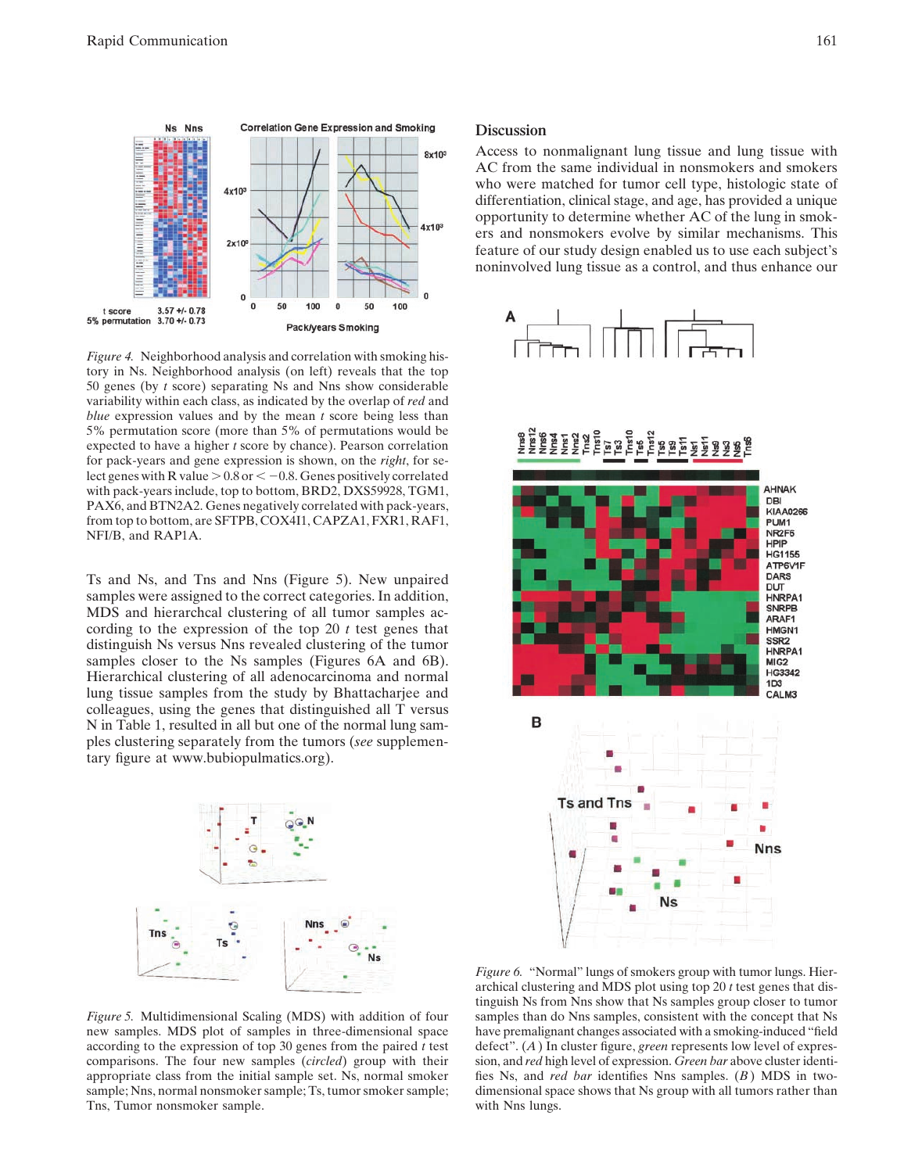

*Figure 4.* Neighborhood analysis and correlation with smoking history in Ns. Neighborhood analysis (on left) reveals that the top 50 genes (by *t* score) separating Ns and Nns show considerable variability within each class, as indicated by the overlap of *red* and *blue* expression values and by the mean *t* score being less than 5% permutation score (more than 5% of permutations would be expected to have a higher *t* score by chance). Pearson correlation for pack-years and gene expression is shown, on the *right*, for select genes with R value  $> 0.8$  or  $< -0.8$ . Genes positively correlated with pack-years include, top to bottom, BRD2, DXS59928, TGM1, PAX6, and BTN2A2. Genes negatively correlated with pack-years, from top to bottom, are SFTPB, COX4I1, CAPZA1, FXR1, RAF1, NFI/B, and RAP1A.

Ts and Ns, and Tns and Nns (Figure 5). New unpaired samples were assigned to the correct categories. In addition, MDS and hierarchcal clustering of all tumor samples according to the expression of the top 20 *t* test genes that distinguish Ns versus Nns revealed clustering of the tumor samples closer to the Ns samples (Figures 6A and 6B). Hierarchical clustering of all adenocarcinoma and normal lung tissue samples from the study by Bhattacharjee and colleagues, using the genes that distinguished all T versus N in Table 1, resulted in all but one of the normal lung samples clustering separately from the tumors (*see* supplementary figure at www.bubiopulmatics.org).



#### **Discussion**

Access to nonmalignant lung tissue and lung tissue with AC from the same individual in nonsmokers and smokers who were matched for tumor cell type, histologic state of differentiation, clinical stage, and age, has provided a unique opportunity to determine whether AC of the lung in smokers and nonsmokers evolve by similar mechanisms. This feature of our study design enabled us to use each subject's noninvolved lung tissue as a control, and thus enhance our





*Figure 5.* Multidimensional Scaling (MDS) with addition of four new samples. MDS plot of samples in three-dimensional space according to the expression of top 30 genes from the paired *t* test comparisons. The four new samples (*circled*) group with their appropriate class from the initial sample set. Ns, normal smoker sample; Nns, normal nonsmoker sample; Ts, tumor smoker sample; Tns, Tumor nonsmoker sample.

*Figure 6.* "Normal" lungs of smokers group with tumor lungs. Hierarchical clustering and MDS plot using top 20 *t* test genes that distinguish Ns from Nns show that Ns samples group closer to tumor samples than do Nns samples, consistent with the concept that Ns have premalignant changes associated with a smoking-induced "field defect". (*A*) In cluster figure, *green* represents low level of expression, and *red* high level of expression. *Green bar* above cluster identifies Ns, and *red bar* identifies Nns samples. (*B*) MDS in twodimensional space shows that Ns group with all tumors rather than with Nns lungs.